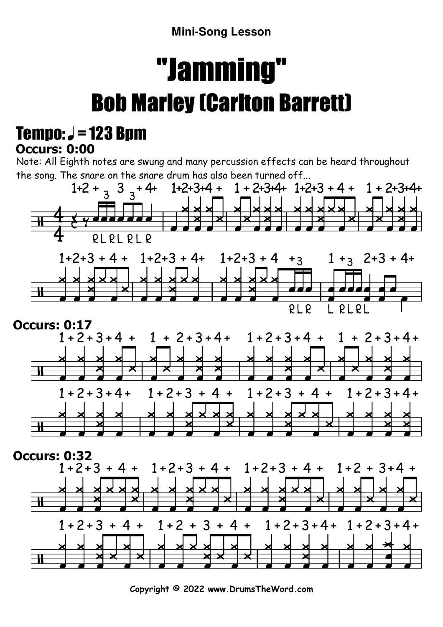**Mini-Song Lesson**

## "Jamming"Bob Marley (Carlton Barrett)

## **Occurs: 0:00** Tempo:  $J = 123$  Bpm

Note: All Eighth notes are swung and many percussion effects can be heard throughout the song. The snare on the snare drum has also been turned off...







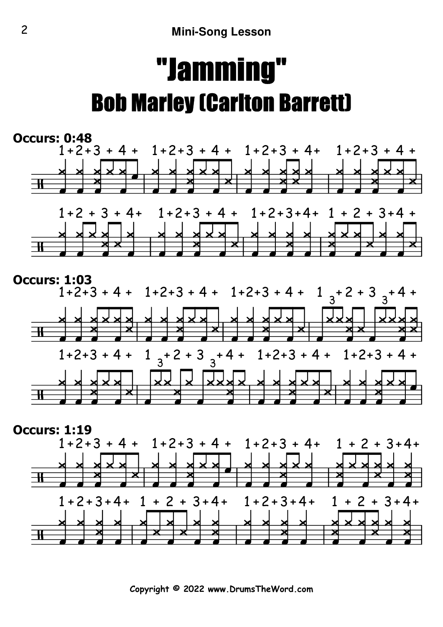## "Jamming"Bob Marley (Carlton Barrett)







**Copyright © 2022 www.DrumsTheWord.com**